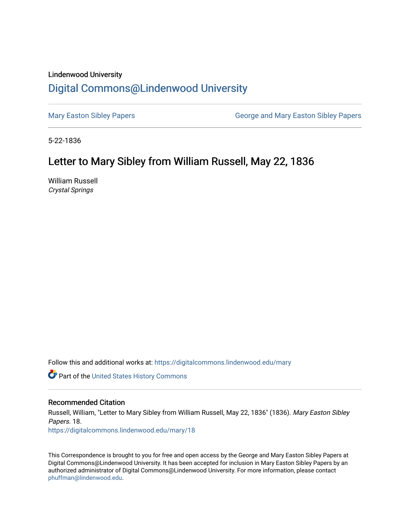## Lindenwood University

# [Digital Commons@Lindenwood University](https://digitalcommons.lindenwood.edu/)

[Mary Easton Sibley Papers](https://digitalcommons.lindenwood.edu/mary) **George and Mary Easton Sibley Papers** George and Mary Easton Sibley Papers

5-22-1836

## Letter to Mary Sibley from William Russell, May 22, 1836

William Russell Crystal Springs

Follow this and additional works at: [https://digitalcommons.lindenwood.edu/mary](https://digitalcommons.lindenwood.edu/mary?utm_source=digitalcommons.lindenwood.edu%2Fmary%2F18&utm_medium=PDF&utm_campaign=PDFCoverPages) 

Part of the [United States History Commons](http://network.bepress.com/hgg/discipline/495?utm_source=digitalcommons.lindenwood.edu%2Fmary%2F18&utm_medium=PDF&utm_campaign=PDFCoverPages) 

### Recommended Citation

Russell, William, "Letter to Mary Sibley from William Russell, May 22, 1836" (1836). Mary Easton Sibley Papers. 18. [https://digitalcommons.lindenwood.edu/mary/18](https://digitalcommons.lindenwood.edu/mary/18?utm_source=digitalcommons.lindenwood.edu%2Fmary%2F18&utm_medium=PDF&utm_campaign=PDFCoverPages)

This Correspondence is brought to you for free and open access by the George and Mary Easton Sibley Papers at Digital Commons@Lindenwood University. It has been accepted for inclusion in Mary Easton Sibley Papers by an authorized administrator of Digital Commons@Lindenwood University. For more information, please contact [phuffman@lindenwood.edu](mailto:phuffman@lindenwood.edu).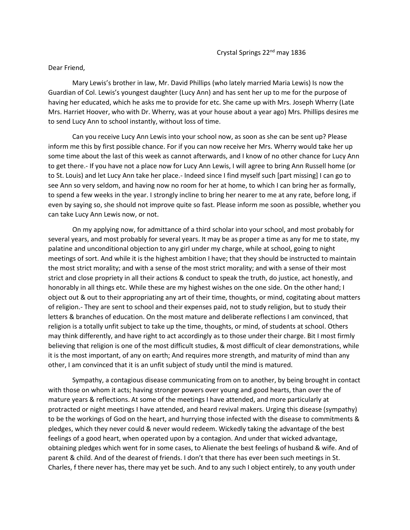#### Dear Friend,

Mary Lewis's brother in law, Mr. David Phillips (who lately married Maria Lewis) Is now the Guardian of Col. Lewis's youngest daughter (Lucy Ann) and has sent her up to me for the purpose of having her educated, which he asks me to provide for etc. She came up with Mrs. Joseph Wherry (Late Mrs. Harriet Hoover, who with Dr. Wherry, was at your house about a year ago) Mrs. Phillips desires me to send Lucy Ann to school instantly, without loss of time.

Can you receive Lucy Ann Lewis into your school now, as soon as she can be sent up? Please inform me this by first possible chance. For if you can now receive her Mrs. Wherry would take her up some time about the last of this week as cannot afterwards, and I know of no other chance for Lucy Ann to get there.- If you have not a place now for Lucy Ann Lewis, I will agree to bring Ann Russell home (or to St. Louis) and let Lucy Ann take her place.- Indeed since I find myself such [part missing] I can go to see Ann so very seldom, and having now no room for her at home, to which I can bring her as formally, to spend a few weeks in the year. I strongly incline to bring her nearer to me at any rate, before long, if even by saying so, she should not improve quite so fast. Please inform me soon as possible, whether you can take Lucy Ann Lewis now, or not.

On my applying now, for admittance of a third scholar into your school, and most probably for several years, and most probably for several years. It may be as proper a time as any for me to state, my palatine and unconditional objection to any girl under my charge, while at school, going to night meetings of sort. And while it is the highest ambition I have; that they should be instructed to maintain the most strict morality; and with a sense of the most strict morality; and with a sense of their most strict and close propriety in all their actions & conduct to speak the truth, do justice, act honestly, and honorably in all things etc. While these are my highest wishes on the one side. On the other hand; I object out & out to their appropriating any art of their time, thoughts, or mind, cogitating about matters of religion.- They are sent to school and their expenses paid, not to study religion, but to study their letters & branches of education. On the most mature and deliberate reflections I am convinced, that religion is a totally unfit subject to take up the time, thoughts, or mind, of students at school. Others may think differently, and have right to act accordingly as to those under their charge. Bit I most firmly believing that religion is one of the most difficult studies, & most difficult of clear demonstrations, while it is the most important, of any on earth; And requires more strength, and maturity of mind than any other, I am convinced that it is an unfit subject of study until the mind is matured.

Sympathy, a contagious disease communicating from on to another, by being brought in contact with those on whom it acts; having stronger powers over young and good hearts, than over the of mature years & reflections. At some of the meetings I have attended, and more particularly at protracted or night meetings I have attended, and heard revival makers. Urging this disease (sympathy) to be the workings of God on the heart, and hurrying those infected with the disease to commitments & pledges, which they never could & never would redeem. Wickedly taking the advantage of the best feelings of a good heart, when operated upon by a contagion. And under that wicked advantage, obtaining pledges which went for in some cases, to Alienate the best feelings of husband & wife. And of parent & child. And of the dearest of friends. I don't that there has ever been such meetings in St. Charles, f there never has, there may yet be such. And to any such I object entirely, to any youth under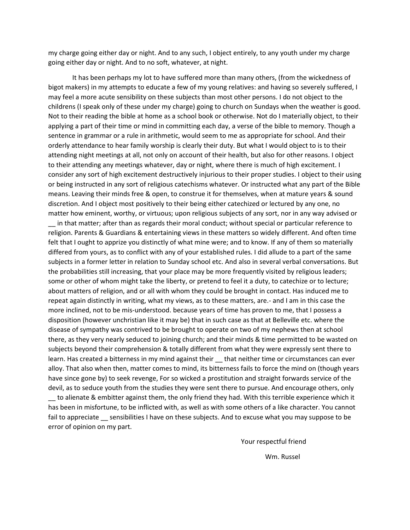my charge going either day or night. And to any such, I object entirely, to any youth under my charge going either day or night. And to no soft, whatever, at night.

It has been perhaps my lot to have suffered more than many others, (from the wickedness of bigot makers) in my attempts to educate a few of my young relatives: and having so severely suffered, I may feel a more acute sensibility on these subjects than most other persons. I do not object to the childrens (I speak only of these under my charge) going to church on Sundays when the weather is good. Not to their reading the bible at home as a school book or otherwise. Not do I materially object, to their applying a part of their time or mind in committing each day, a verse of the bible to memory. Though a sentence in grammar or a rule in arithmetic, would seem to me as appropriate for school. And their orderly attendance to hear family worship is clearly their duty. But what I would object to is to their attending night meetings at all, not only on account of their health, but also for other reasons. I object to their attending any meetings whatever, day or night, where there is much of high excitement. I consider any sort of high excitement destructively injurious to their proper studies. I object to their using or being instructed in any sort of religious catechisms whatever. Or instructed what any part of the Bible means. Leaving their minds free & open, to construe it for themselves, when at mature years & sound discretion. And I object most positively to their being either catechized or lectured by any one, no matter how eminent, worthy, or virtuous; upon religious subjects of any sort, nor in any way advised or \_\_ in that matter; after than as regards their moral conduct; without special or particular reference to religion. Parents & Guardians & entertaining views in these matters so widely different. And often time felt that I ought to apprize you distinctly of what mine were; and to know. If any of them so materially differed from yours, as to conflict with any of your established rules. I did allude to a part of the same subjects in a former letter in relation to Sunday school etc. And also in several verbal conversations. But the probabilities still increasing, that your place may be more frequently visited by religious leaders; some or other of whom might take the liberty, or pretend to feel it a duty, to catechize or to lecture; about matters of religion, and or all with whom they could be brought in contact. Has induced me to repeat again distinctly in writing, what my views, as to these matters, are.- and I am in this case the more inclined, not to be mis-understood. because years of time has proven to me, that I possess a disposition (however unchristian like it may be) that in such case as that at Belleville etc. where the disease of sympathy was contrived to be brought to operate on two of my nephews then at school there, as they very nearly seduced to joining church; and their minds & time permitted to be wasted on subjects beyond their comprehension & totally different from what they were expressly sent there to learn. Has created a bitterness in my mind against their \_\_ that neither time or circumstances can ever alloy. That also when then, matter comes to mind, its bitterness fails to force the mind on (though years have since gone by) to seek revenge, For so wicked a prostitution and straight forwards service of the devil, as to seduce youth from the studies they were sent there to pursue. And encourage others, only \_\_ to alienate & embitter against them, the only friend they had. With this terrible experience which it has been in misfortune, to be inflicted with, as well as with some others of a like character. You cannot fail to appreciate sensibilities I have on these subjects. And to excuse what you may suppose to be error of opinion on my part.

> Your respectful friend Wm. Russel